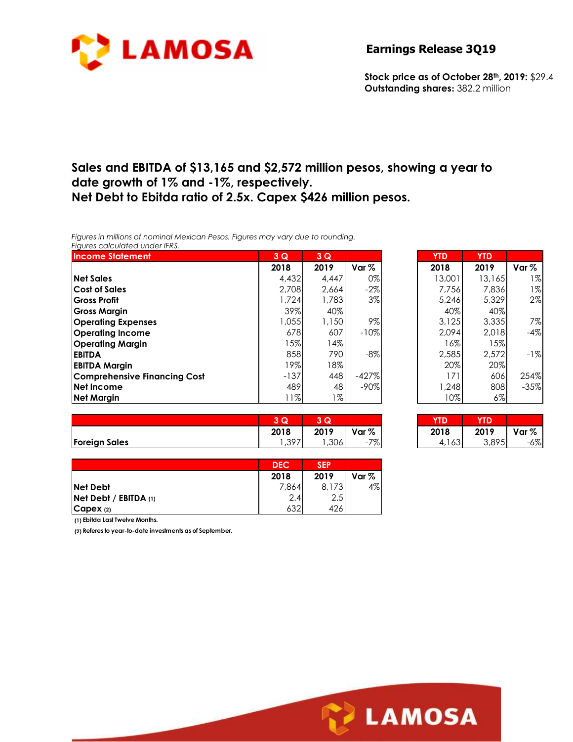

**Stock price as of October 28th, 2019:** \$29.4 **Outstanding shares:** 382.2 million

# **Sales and EBITDA of \$13,165 and \$2,572 million pesos, showing a year to date growth of 1% and -1%, respectively. Net Debt to Ebitda ratio of 2.5x. Capex \$426 million pesos.**

*Figures in millions of nominal Mexican Pesos. Figures may vary due to rounding. Figures calculated under IFRS.* 

| <b>Income Statement</b>             | 3Q     | 3Q    |         | <b>YTD</b> | <b>YTD</b> |        |
|-------------------------------------|--------|-------|---------|------------|------------|--------|
|                                     | 2018   | 2019  | Var $%$ | 2018       | 2019       | Var %  |
| <b>Net Sales</b>                    | 4,432  | 4.447 | 0%      | 13,001     | 13,165     | $1\%$  |
| <b>Cost of Sales</b>                | 2.708  | 2.664 | $-2\%$  | 7.756      | 7,836      | 1%     |
| Gross Profit                        | 1,724  | 1,783 | 3%      | 5.246      | 5.329      | 2%     |
| <b>Gross Margin</b>                 | 39%    | 40%   |         | 40%        | 40%        |        |
| <b>Operating Expenses</b>           | .055   | 1,150 | 9%      | 3.125      | 3,335      | 7%     |
| <b>Operating Income</b>             | 678    | 607   | $-10%$  | 2.094      | 2,018      | $-4%$  |
| <b>Operating Margin</b>             | 15%    | 14%   |         | 16%        | 15%        |        |
| <b>EBITDA</b>                       | 858    | 790   | $-8%$   | 2,585      | 2,572      | $-1%$  |
| <b>EBITDA Margin</b>                | 19%    | 18%   |         | 20%        | 20%        |        |
| <b>Comprehensive Financing Cost</b> | $-137$ | 448   | $-427%$ | 171        | 606        | 254%   |
| Net Income                          | 489    | 48    | $-90\%$ | 1,248      | 808        | $-35%$ |
| <b>Net Margin</b>                   | 11%    | 1%    |         | 10%        | $6\%$      |        |

| 3Q     | 3Q    |         | <b>YTD</b> | <b>YTD</b> |        |
|--------|-------|---------|------------|------------|--------|
| 2018   | 2019  | Var %   | 2018       | 2019       | Var %  |
| 4,432  | 4.447 | 0%      | 13,001     | 13,165     | $1\%$  |
| 2,708  | 2,664 | $-2\%$  | 7,756      | 7,836      | $1\%$  |
| 1,724  | 1,783 | 3%      | 5,246      | 5,329      | 2%     |
| 39%    | 40%   |         | 40%        | 40%        |        |
| 1,055  | 1,150 | 9%      | 3,125      | 3,335      | 7%     |
| 678    | 607   | $-10%$  | 2,094      | 2,018      | $-4%$  |
| 15%    | 14%   |         | 16%        | 15%        |        |
| 858    | 790   | -8%     | 2,585      | 2,572      | $-1%$  |
| 19%    | 18%   |         | 20%        | 20%        |        |
| $-137$ | 448   | $-427%$ | 171        | 606        | 254%   |
| 489    | 48    | $-90%$  | 1,248      | 808        | $-35%$ |
| 11%    | 1%    |         | 10%        | 6%         |        |

|                      | c.           | ש    |                     | YTD                       | YTD   |       |
|----------------------|--------------|------|---------------------|---------------------------|-------|-------|
|                      | 2018         | 2019 | Var $%$             | 2018                      | 2019  | Var % |
| <b>Foreign Sales</b> | 397<br>. / ب | ,306 | 707.<br>70 I<br>- 1 | $\sqrt{2}$<br>∣ ၀၁<br>4.1 | 3,895 | $-6%$ |

| 3Q   | 30.  |       |       |       |        |
|------|------|-------|-------|-------|--------|
| 2018 | 2019 | Var % | 2018  | 2019  | Var %  |
| ,397 | ,306 | -7%   | 4,163 | 3,895 | $-6\%$ |

|                           | <b>DEC</b> | <b>SEP</b> |       |
|---------------------------|------------|------------|-------|
|                           | 2018       | 2019       | Var % |
| <b>Net Debt</b>           | 7,864      | 8.173      | 4%    |
| $Net$ Debt / EBITDA $(1)$ | 2.4        | 2.5        |       |
| CapeX (2)                 | 632        | 426        |       |

**(1) Ebitda Last Twelve Months.**

**(2) Referes to year-to-date investments as of September.**

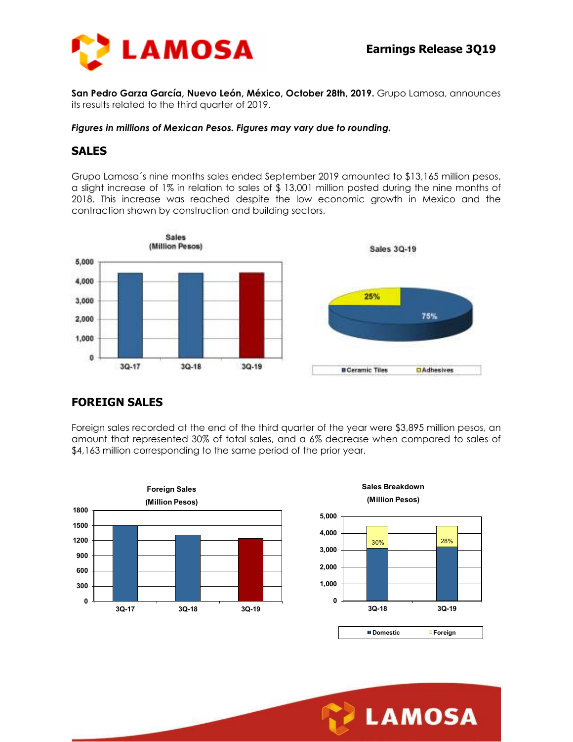

**San Pedro Garza García, Nuevo León, México, October 28th, 2019.** Grupo Lamosa, announces its results related to the third quarter of 2019.

#### *Figures in millions of Mexican Pesos. Figures may vary due to rounding.*

## **SALES**

Grupo Lamosa´s nine months sales ended September 2019 amounted to \$13,165 million pesos, a slight increase of 1% in relation to sales of \$ 13,001 million posted during the nine months of 2018. This increase was reached despite the low economic growth in Mexico and the contraction shown by construction and building sectors.



### **FOREIGN SALES**

Foreign sales recorded at the end of the third quarter of the year were \$3,895 million pesos, an amount that represented 30% of total sales, and a 6% decrease when compared to sales of \$4,163 million corresponding to the same period of the prior year.



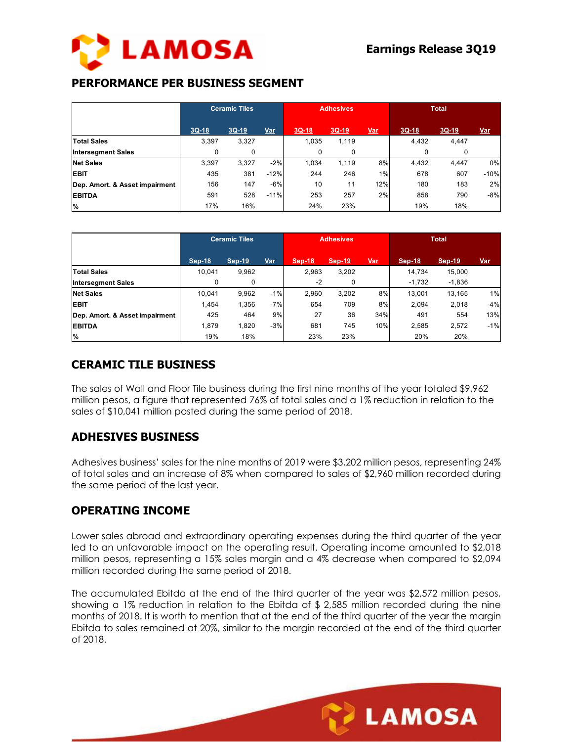

## **PERFORMANCE PER BUSINESS SEGMENT**

|                                | <b>Ceramic Tiles</b> |             | <b>Adhesives</b> |         |         | <b>Total</b> |         |         |            |
|--------------------------------|----------------------|-------------|------------------|---------|---------|--------------|---------|---------|------------|
|                                | $3Q-18$              | $3Q-19$     | Var              | $3Q-18$ | $3Q-19$ | <u>Var</u>   | $3Q-18$ | $3Q-19$ | <u>Var</u> |
| <b>Total Sales</b>             | 3,397                | 3,327       |                  | 1,035   | 1,119   |              | 4,432   | 4,447   |            |
| <b>Intersegment Sales</b>      | 0                    | $\mathbf 0$ |                  | 0       | 0       |              | 0       | 0       |            |
| <b>Net Sales</b>               | 3,397                | 3.327       | $-2%$            | 1.034   | 1.119   | 8%           | 4,432   | 4,447   | 0%         |
| <b>EBIT</b>                    | 435                  | 381         | $-12%$           | 244     | 246     | 1%           | 678     | 607     | $-10%$     |
| Dep. Amort. & Asset impairment | 156                  | 147         | $-6%$            | 10      | 11      | 12%          | 180     | 183     | 2%         |
| <b>EBITDA</b>                  | 591                  | 528         | $-11%$           | 253     | 257     | 2%           | 858     | 790     | $-8%$      |
| %                              | 17%                  | 16%         |                  | 24%     | 23%     |              | 19%     | 18%     |            |

|                                | <b>Ceramic Tiles</b> |          | <b>Adhesives</b> |               |               | <b>Total</b> |          |          |            |
|--------------------------------|----------------------|----------|------------------|---------------|---------------|--------------|----------|----------|------------|
|                                | Sep-18               | $Sep-19$ | <u>Var</u>       | <b>Sep-18</b> | <b>Sep-19</b> | <u>Var</u>   | $Sep-18$ | $Sep-19$ | <u>Var</u> |
| <b>Total Sales</b>             | 10,041               | 9,962    |                  | 2,963         | 3,202         |              | 14.734   | 15,000   |            |
| <b>Intersegment Sales</b>      | 0                    | 0        |                  | $-2$          | 0             |              | $-1,732$ | $-1,836$ |            |
| <b>Net Sales</b>               | 10,041               | 9,962    | $-1%$            | 2.960         | 3,202         | 8%           | 13,001   | 13,165   | 1%         |
| <b>EBIT</b>                    | 1.454                | 1,356    | $-7%$            | 654           | 709           | 8%           | 2.094    | 2,018    | $-4%$      |
| Dep. Amort. & Asset impairment | 425                  | 464      | 9%               | 27            | 36            | 34%          | 491      | 554      | 13%        |
| <b>EBITDA</b>                  | 1.879                | 1,820    | $-3%$            | 681           | 745           | 10%          | 2,585    | 2,572    | $-1%$      |
| %                              | 19%                  | 18%      |                  | 23%           | 23%           |              | 20%      | 20%      |            |

## **CERAMIC TILE BUSINESS**

The sales of Wall and Floor Tile business during the first nine months of the year totaled \$9,962 million pesos, a figure that represented 76% of total sales and a 1% reduction in relation to the sales of \$10,041 million posted during the same period of 2018.

## **ADHESIVES BUSINESS**

Adhesives business' sales for the nine months of 2019 were \$3,202 million pesos, representing 24% of total sales and an increase of 8% when compared to sales of \$2,960 million recorded during the same period of the last year.

### **OPERATING INCOME**

Lower sales abroad and extraordinary operating expenses during the third quarter of the year led to an unfavorable impact on the operating result. Operating income amounted to \$2,018 million pesos, representing a 15% sales margin and a 4% decrease when compared to \$2,094 million recorded during the same period of 2018.

The accumulated Ebitda at the end of the third quarter of the year was \$2,572 million pesos, showing a 1% reduction in relation to the Ebitda of \$ 2,585 million recorded during the nine months of 2018. It is worth to mention that at the end of the third quarter of the year the margin Ebitda to sales remained at 20%, similar to the margin recorded at the end of the third quarter of 2018.

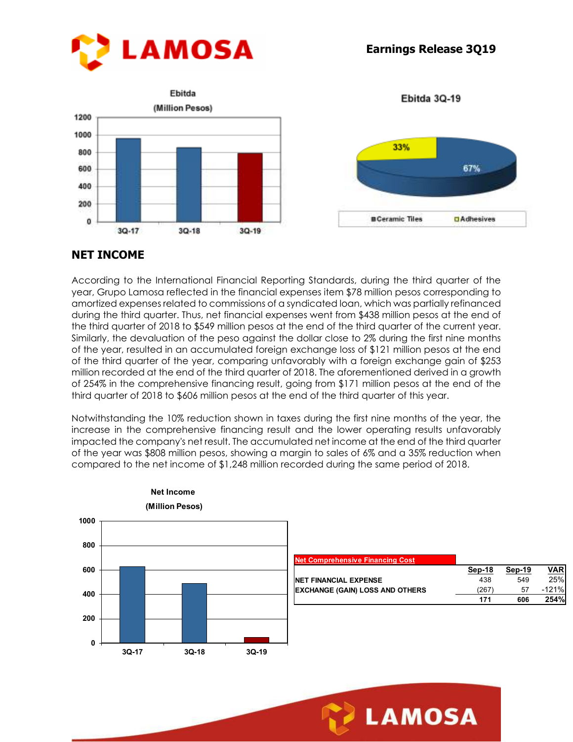



# **NET INCOME**

According to the International Financial Reporting Standards, during the third quarter of the year, Grupo Lamosa reflected in the financial expenses item \$78 million pesos corresponding to amortized expenses related to commissions of a syndicated loan, which was partially refinanced during the third quarter. Thus, net financial expenses went from \$438 million pesos at the end of the third quarter of 2018 to \$549 million pesos at the end of the third quarter of the current year. Similarly, the devaluation of the peso against the dollar close to 2% during the first nine months of the year, resulted in an accumulated foreign exchange loss of \$121 million pesos at the end of the third quarter of the year, comparing unfavorably with a foreign exchange gain of \$253 million recorded at the end of the third quarter of 2018. The aforementioned derived in a growth of 254% in the comprehensive financing result, going from \$171 million pesos at the end of the third quarter of 2018 to \$606 million pesos at the end of the third quarter of this year.

Notwithstanding the 10% reduction shown in taxes during the first nine months of the year, the increase in the comprehensive financing result and the lower operating results unfavorably impacted the company's net result. The accumulated net income at the end of the third quarter of the year was \$808 million pesos, showing a margin to sales of 6% and a 35% reduction when compared to the net income of \$1,248 million recorded during the same period of 2018.



#### **Net Income (Million Pesos)**